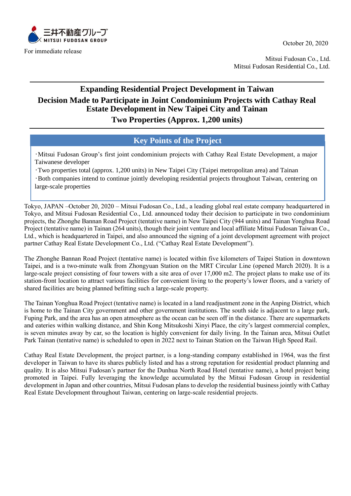

For immediate release

Mitsui Fudosan Co., Ltd. Mitsui Fudosan Residential Co., Ltd.

## **Expanding Residential Project Development in Taiwan Decision Made to Participate in Joint Condominium Projects with Cathay Real Estate Development in New Taipei City and Tainan**

**Two Properties (Approx. 1,200 units)**

## **Key Points of the Project**

・Mitsui Fudosan Group's first joint condominium projects with Cathay Real Estate Development, a major Taiwanese developer

・Two properties total (approx. 1,200 units) in New Taipei City (Taipei metropolitan area) and Tainan ・Both companies intend to continue jointly developing residential projects throughout Taiwan, centering on large-scale properties

Tokyo, JAPAN –October 20, 2020 – Mitsui Fudosan Co., Ltd., a leading global real estate company headquartered in Tokyo, and Mitsui Fudosan Residential Co., Ltd. announced today their decision to participate in two condominium projects, the Zhonghe Bannan Road Project (tentative name) in New Taipei City (944 units) and Tainan Yonghua Road Project (tentative name) in Tainan (264 units), though their joint venture and local affiliate Mitsui Fudosan Taiwan Co., Ltd., which is headquartered in Taipei, and also announced the signing of a joint development agreement with project partner Cathay Real Estate Development Co., Ltd. ("Cathay Real Estate Development").

The Zhonghe Bannan Road Project (tentative name) is located within five kilometers of Taipei Station in downtown Taipei, and is a two-minute walk from Zhongyuan Station on the MRT Circular Line (opened March 2020). It is a large-scale project consisting of four towers with a site area of over 17,000 m2. The project plans to make use of its station-front location to attract various facilities for convenient living to the property's lower floors, and a variety of shared facilities are being planned befitting such a large-scale property.

The Tainan Yonghua Road Project (tentative name) is located in a land readjustment zone in the Anping District, which is home to the Tainan City government and other government institutions. The south side is adjacent to a large park, Fuping Park, and the area has an open atmosphere as the ocean can be seen off in the distance. There are supermarkets and eateries within walking distance, and Shin Kong Mitsukoshi Xinyi Place, the city's largest commercial complex, is seven minutes away by car, so the location is highly convenient for daily living. In the Tainan area, Mitsui Outlet Park Tainan (tentative name) is scheduled to open in 2022 next to Tainan Station on the Taiwan High Speed Rail.

Cathay Real Estate Development, the project partner, is a long-standing company established in 1964, was the first developer in Taiwan to have its shares publicly listed and has a strong reputation for residential product planning and quality. It is also Mitsui Fudosan's partner for the Dunhua North Road Hotel (tentative name), a hotel project being promoted in Taipei. Fully leveraging the knowledge accumulated by the Mitsui Fudosan Group in residential development in Japan and other countries, Mitsui Fudosan plans to develop the residential business jointly with Cathay Real Estate Development throughout Taiwan, centering on large-scale residential projects.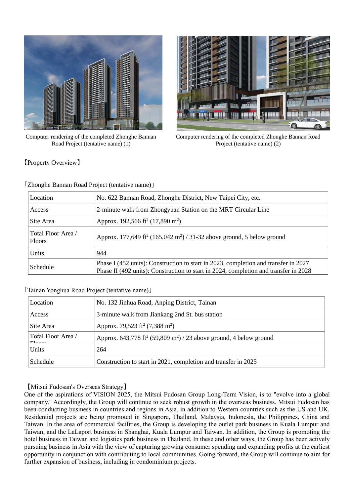

Computer rendering of the completed Zhonghe Bannan Road Project (tentative name) (1)



Computer rendering of the completed Zhonghe Bannan Road Project (tentative name) (2)

【Property Overview】

「Zhonghe Bannan Road Project (tentative name)」

| Location                            | No. 622 Bannan Road, Zhonghe District, New Taipei City, etc.                                                                                                                |  |  |
|-------------------------------------|-----------------------------------------------------------------------------------------------------------------------------------------------------------------------------|--|--|
| Access                              | 2-minute walk from Zhongyuan Station on the MRT Circular Line                                                                                                               |  |  |
| Site Area                           | Approx. 192,566 ft <sup>2</sup> (17,890 m <sup>2</sup> )                                                                                                                    |  |  |
| Total Floor Area /<br><b>Floors</b> | Approx. 177,649 ft <sup>2</sup> (165,042 m <sup>2</sup> ) / 31-32 above ground, 5 below ground                                                                              |  |  |
| Units                               | 944                                                                                                                                                                         |  |  |
| Schedule                            | Phase I (452 units): Construction to start in 2023, completion and transfer in 2027<br>Phase II (492 units): Construction to start in 2024, completion and transfer in 2028 |  |  |

## 「Tainan Yonghua Road Project (tentative name)」

| Location           | No. 132 Jinhua Road, Anping District, Tainan                                               |  |  |
|--------------------|--------------------------------------------------------------------------------------------|--|--|
| Access             | 3-minute walk from Jiankang 2nd St. bus station                                            |  |  |
| Site Area          | Approx. 79,523 ft <sup>2</sup> (7,388 m <sup>2</sup> )                                     |  |  |
| Total Floor Area / | Approx. 643,778 ft <sup>2</sup> (59,809 m <sup>2</sup> ) / 23 above ground, 4 below ground |  |  |
| Units              | 264                                                                                        |  |  |
| Schedule           | Construction to start in 2021, completion and transfer in 2025                             |  |  |

【Mitsui Fudosan's Overseas Strategy】

One of the aspirations of VISION 2025, the Mitsui Fudosan Group Long-Term Vision, is to "evolve into a global company." Accordingly, the Group will continue to seek robust growth in the overseas business. Mitsui Fudosan has been conducting business in countries and regions in Asia, in addition to Western countries such as the US and UK. Residential projects are being promoted in Singapore, Thailand, Malaysia, Indonesia, the Philippines, China and Taiwan. In the area of commercial facilities, the Group is developing the outlet park business in Kuala Lumpur and Taiwan, and the LaLaport business in Shanghai, Kuala Lumpur and Taiwan. In addition, the Group is promoting the hotel business in Taiwan and logistics park business in Thailand. In these and other ways, the Group has been actively pursuing business in Asia with the view of capturing growing consumer spending and expanding profits at the earliest opportunity in conjunction with contributing to local communities. Going forward, the Group will continue to aim for further expansion of business, including in condominium projects.